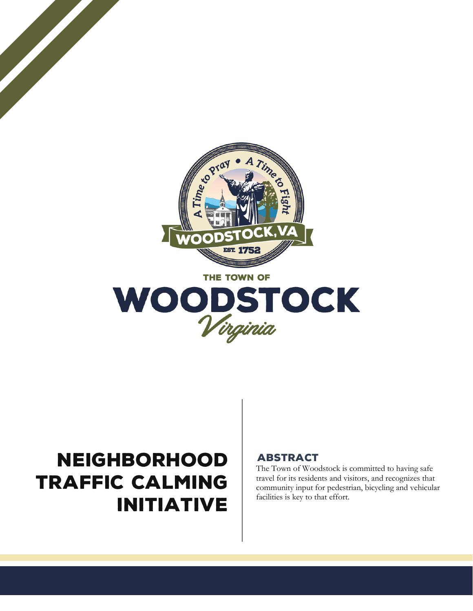



# NEIGHBORHOOD TRAFFIC CALMING INITIATIVE

## ABSTRACT

The Town of Woodstock is committed to having safe travel for its residents and visitors, and recognizes that community input for pedestrian, bicycling and vehicular facilities is key to that effort.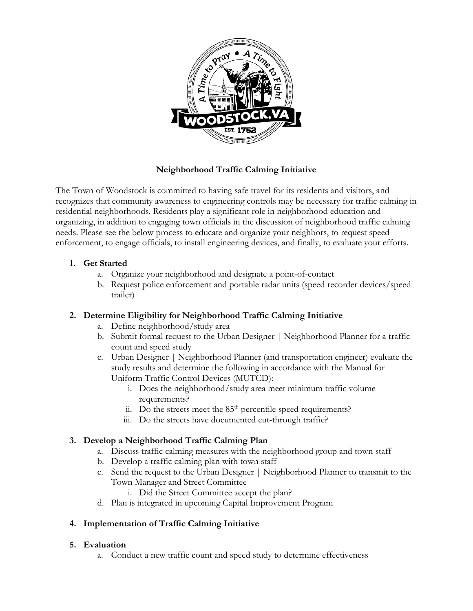

## **Neighborhood Traffic Calming Initiative**

The Town of Woodstock is committed to having safe travel for its residents and visitors, and recognizes that community awareness to engineering controls may be necessary for traffic calming in residential neighborhoods. Residents play a significant role in neighborhood education and organizing, in addition to engaging town officials in the discussion of neighborhood traffic calming needs. Please see the below process to educate and organize your neighbors, to request speed enforcement, to engage officials, to install engineering devices, and finally, to evaluate your efforts.

### **1. Get Started**

- a. Organize your neighborhood and designate a point-of-contact
- b. Request police enforcement and portable radar units (speed recorder devices/speed trailer)

### **2. Determine Eligibility for Neighborhood Traffic Calming Initiative**

- a. Define neighborhood/study area
- b. Submit formal request to the Urban Designer | Neighborhood Planner for a traffic count and speed study
- c. Urban Designer | Neighborhood Planner (and transportation engineer) evaluate the study results and determine the following in accordance with the Manual for Uniform Traffic Control Devices (MUTCD):
	- i. Does the neighborhood/study area meet minimum traffic volume requirements?
	- ii. Do the streets meet the  $85<sup>th</sup>$  percentile speed requirements?
	- iii. Do the streets have documented cut-through traffic?

## **3. Develop a Neighborhood Traffic Calming Plan**

- a. Discuss traffic calming measures with the neighborhood group and town staff
- b. Develop a traffic calming plan with town staff
- c. Send the request to the Urban Designer | Neighborhood Planner to transmit to the Town Manager and Street Committee
	- i. Did the Street Committee accept the plan?
- d. Plan is integrated in upcoming Capital Improvement Program

## **4. Implementation of Traffic Calming Initiative**

### **5. Evaluation**

a. Conduct a new traffic count and speed study to determine effectiveness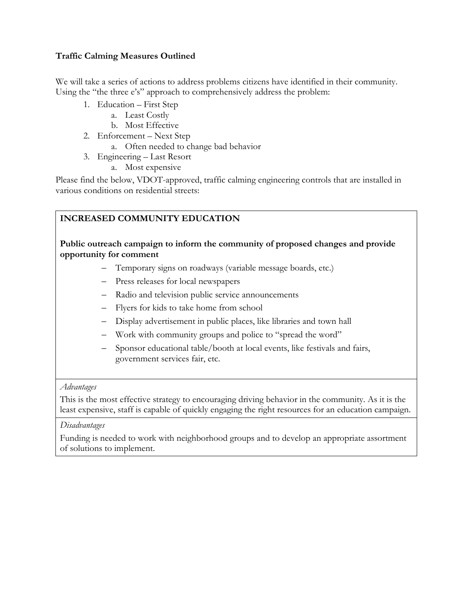#### **Traffic Calming Measures Outlined**

We will take a series of actions to address problems citizens have identified in their community. Using the "the three e's" approach to comprehensively address the problem:

- 1. Education First Step
	- a. Least Costly
	- b. Most Effective
- 2. Enforcement Next Step
	- a. Often needed to change bad behavior
- 3. Engineering Last Resort
	- a. Most expensive

Please find the below, VDOT-approved, traffic calming engineering controls that are installed in various conditions on residential streets:

## **INCREASED COMMUNITY EDUCATION**

**Public outreach campaign to inform the community of proposed changes and provide opportunity for comment**

- Temporary signs on roadways (variable message boards, etc.)
- Press releases for local newspapers
- Radio and television public service announcements
- Flyers for kids to take home from school
- Display advertisement in public places, like libraries and town hall
- Work with community groups and police to "spread the word"
- Sponsor educational table/booth at local events, like festivals and fairs, government services fair, etc.

#### *Advantages*

This is the most effective strategy to encouraging driving behavior in the community. As it is the least expensive, staff is capable of quickly engaging the right resources for an education campaign.

#### *Disadvantages*

Funding is needed to work with neighborhood groups and to develop an appropriate assortment of solutions to implement.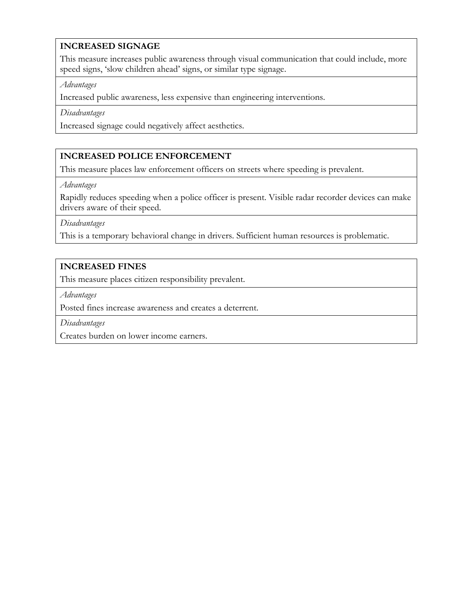## **INCREASED SIGNAGE**

This measure increases public awareness through visual communication that could include, more speed signs, 'slow children ahead' signs, or similar type signage.

*Advantages*

Increased public awareness, less expensive than engineering interventions.

*Disadvantages*

Increased signage could negatively affect aesthetics.

#### **INCREASED POLICE ENFORCEMENT**

This measure places law enforcement officers on streets where speeding is prevalent.

*Advantages*

Rapidly reduces speeding when a police officer is present. Visible radar recorder devices can make drivers aware of their speed.

*Disadvantages*

This is a temporary behavioral change in drivers. Sufficient human resources is problematic.

### **INCREASED FINES**

This measure places citizen responsibility prevalent.

*Advantages*

Posted fines increase awareness and creates a deterrent.

*Disadvantages*

Creates burden on lower income earners.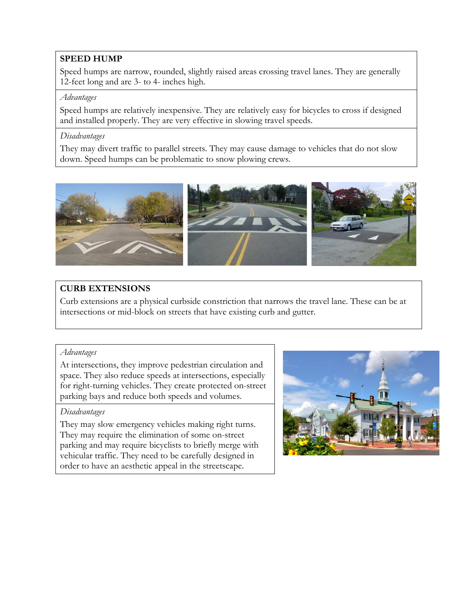#### **SPEED HUMP**

Speed humps are narrow, rounded, slightly raised areas crossing travel lanes. They are generally 12-feet long and are 3- to 4- inches high.

#### *Advantages*

Speed humps are relatively inexpensive. They are relatively easy for bicycles to cross if designed and installed properly. They are very effective in slowing travel speeds.

#### *Disadvantages*

They may divert traffic to parallel streets. They may cause damage to vehicles that do not slow down. Speed humps can be problematic to snow plowing crews.



## **CURB EXTENSIONS**

Curb extensions are a physical curbside constriction that narrows the travel lane. These can be at intersections or mid-block on streets that have existing curb and gutter.

#### *Advantages*

At intersections, they improve pedestrian circulation and space. They also reduce speeds at intersections, especially for right-turning vehicles. They create protected on-street parking bays and reduce both speeds and volumes.

#### *Disadvantages*

They may slow emergency vehicles making right turns. They may require the elimination of some on-street parking and may require bicyclists to briefly merge with vehicular traffic. They need to be carefully designed in order to have an aesthetic appeal in the streetscape.

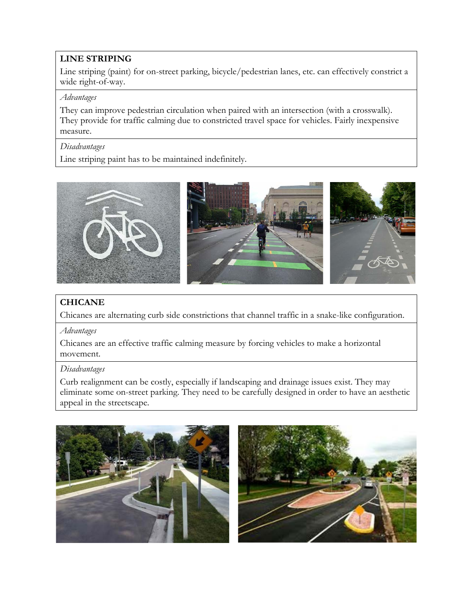## **LINE STRIPING**

Line striping (paint) for on-street parking, bicycle/pedestrian lanes, etc. can effectively constrict a wide right-of-way.

#### *Advantages*

They can improve pedestrian circulation when paired with an intersection (with a crosswalk). They provide for traffic calming due to constricted travel space for vehicles. Fairly inexpensive measure.

#### *Disadvantages*

Line striping paint has to be maintained indefinitely.



## **CHICANE**

Chicanes are alternating curb side constrictions that channel traffic in a snake-like configuration.

#### *Advantages*

Chicanes are an effective traffic calming measure by forcing vehicles to make a horizontal movement.

#### *Disadvantages*

Curb realignment can be costly, especially if landscaping and drainage issues exist. They may eliminate some on-street parking. They need to be carefully designed in order to have an aesthetic appeal in the streetscape.

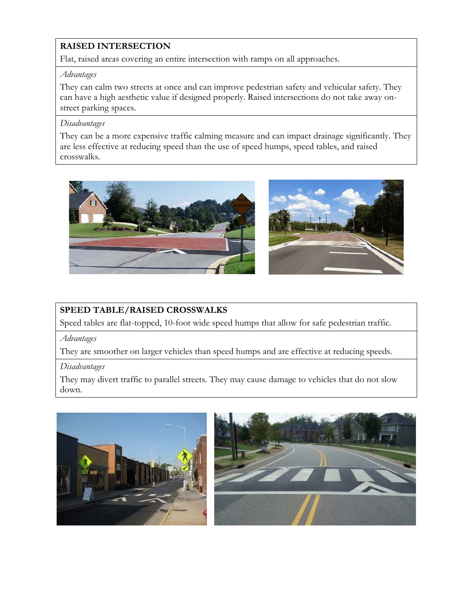## **RAISED INTERSECTION**

Flat, raised areas covering an entire intersection with ramps on all approaches.

#### *Advantages*

They can calm two streets at once and can improve pedestrian safety and vehicular safety. They can have a high aesthetic value if designed properly. Raised intersections do not take away onstreet parking spaces.

#### *Disadvantages*

They can be a more expensive traffic calming measure and can impact drainage significantly. They are less effective at reducing speed than the use of speed humps, speed tables, and raised crosswalks.



## **SPEED TABLE/RAISED CROSSWALKS**

Speed tables are flat-topped, 10-foot wide speed humps that allow for safe pedestrian traffic.

*Advantages*

They are smoother on larger vehicles than speed humps and are effective at reducing speeds.

### *Disadvantages*

They may divert traffic to parallel streets. They may cause damage to vehicles that do not slow down.